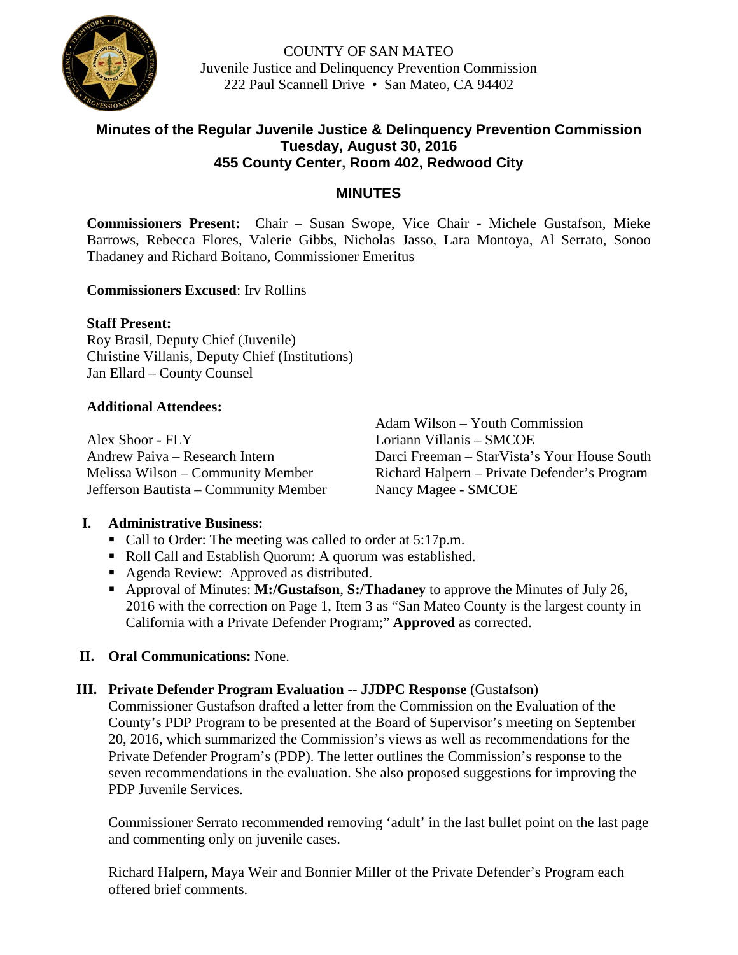

COUNTY OF SAN MATEO Juvenile Justice and Delinquency Prevention Commission 222 Paul Scannell Drive • San Mateo, CA 94402

## **Minutes of the Regular Juvenile Justice & Delinquency Prevention Commission Tuesday, August 30, 2016 455 County Center, Room 402, Redwood City**

## **MINUTES**

**Commissioners Present:** Chair – Susan Swope, Vice Chair - Michele Gustafson, Mieke Barrows, Rebecca Flores, Valerie Gibbs, Nicholas Jasso, Lara Montoya, Al Serrato, Sonoo Thadaney and Richard Boitano, Commissioner Emeritus

#### **Commissioners Excused**: Irv Rollins

#### **Staff Present:**

Roy Brasil, Deputy Chief (Juvenile) Christine Villanis, Deputy Chief (Institutions) Jan Ellard – County Counsel

#### **Additional Attendees:**

Alex Shoor - FLY Loriann Villanis – SMCOE Jefferson Bautista – Community Member Nancy Magee - SMCOE

Adam Wilson – Youth Commission Andrew Paiva – Research Intern Darci Freeman – StarVista's Your House South Melissa Wilson – Community Member Richard Halpern – Private Defender's Program

## **I. Administrative Business:**

- Call to Order: The meeting was called to order at 5:17p.m.
- Roll Call and Establish Quorum: A quorum was established.
- Agenda Review: Approved as distributed.
- Approval of Minutes: **M:/Gustafson**, **S:/Thadaney** to approve the Minutes of July 26, 2016 with the correction on Page 1, Item 3 as "San Mateo County is the largest county in California with a Private Defender Program;" **Approved** as corrected.

## **II. Oral Communications:** None.

**III. Private Defender Program Evaluation -- JJDPC Response** (Gustafson)

Commissioner Gustafson drafted a letter from the Commission on the Evaluation of the County's PDP Program to be presented at the Board of Supervisor's meeting on September 20, 2016, which summarized the Commission's views as well as recommendations for the Private Defender Program's (PDP). The letter outlines the Commission's response to the seven recommendations in the evaluation. She also proposed suggestions for improving the PDP Juvenile Services.

Commissioner Serrato recommended removing 'adult' in the last bullet point on the last page and commenting only on juvenile cases.

Richard Halpern, Maya Weir and Bonnier Miller of the Private Defender's Program each offered brief comments.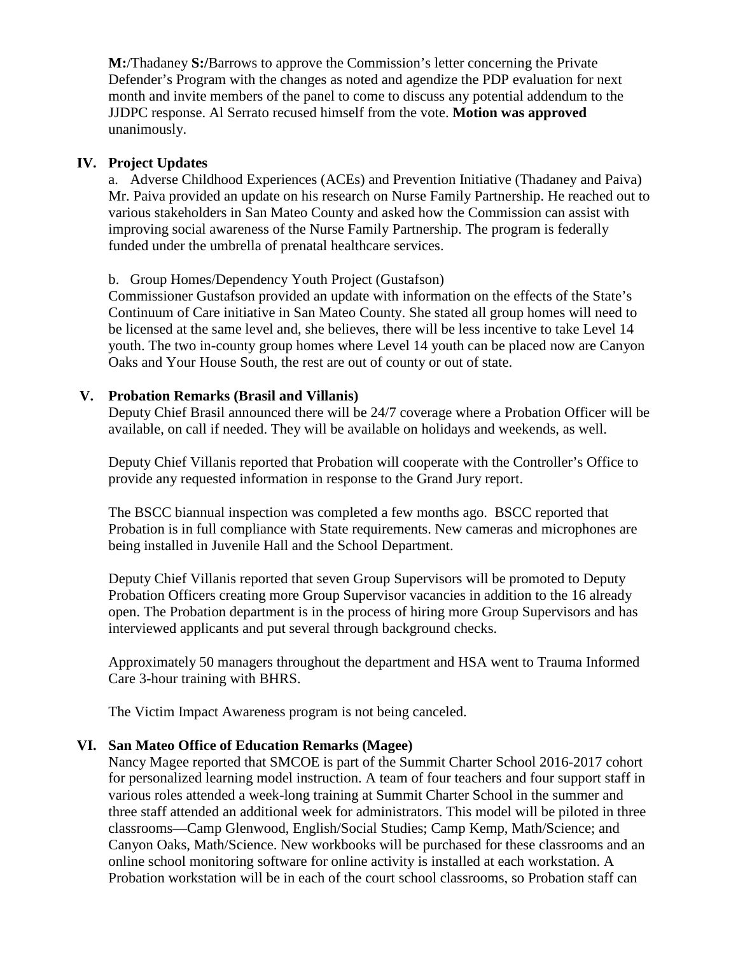**M:**/Thadaney **S:/**Barrows to approve the Commission's letter concerning the Private Defender's Program with the changes as noted and agendize the PDP evaluation for next month and invite members of the panel to come to discuss any potential addendum to the JJDPC response. Al Serrato recused himself from the vote. **Motion was approved**  unanimously.

#### **IV. Project Updates**

a. Adverse Childhood Experiences (ACEs) and Prevention Initiative (Thadaney and Paiva) Mr. Paiva provided an update on his research on Nurse Family Partnership. He reached out to various stakeholders in San Mateo County and asked how the Commission can assist with improving social awareness of the Nurse Family Partnership. The program is federally funded under the umbrella of prenatal healthcare services.

b. Group Homes/Dependency Youth Project (Gustafson)

Commissioner Gustafson provided an update with information on the effects of the State's Continuum of Care initiative in San Mateo County. She stated all group homes will need to be licensed at the same level and, she believes, there will be less incentive to take Level 14 youth. The two in-county group homes where Level 14 youth can be placed now are Canyon Oaks and Your House South, the rest are out of county or out of state.

#### **V. Probation Remarks (Brasil and Villanis)**

Deputy Chief Brasil announced there will be 24/7 coverage where a Probation Officer will be available, on call if needed. They will be available on holidays and weekends, as well.

Deputy Chief Villanis reported that Probation will cooperate with the Controller's Office to provide any requested information in response to the Grand Jury report.

The BSCC biannual inspection was completed a few months ago. BSCC reported that Probation is in full compliance with State requirements. New cameras and microphones are being installed in Juvenile Hall and the School Department.

Deputy Chief Villanis reported that seven Group Supervisors will be promoted to Deputy Probation Officers creating more Group Supervisor vacancies in addition to the 16 already open. The Probation department is in the process of hiring more Group Supervisors and has interviewed applicants and put several through background checks.

Approximately 50 managers throughout the department and HSA went to Trauma Informed Care 3-hour training with BHRS.

The Victim Impact Awareness program is not being canceled.

## **VI. San Mateo Office of Education Remarks (Magee)**

Nancy Magee reported that SMCOE is part of the Summit Charter School 2016-2017 cohort for personalized learning model instruction. A team of four teachers and four support staff in various roles attended a week-long training at Summit Charter School in the summer and three staff attended an additional week for administrators. This model will be piloted in three classrooms—Camp Glenwood, English/Social Studies; Camp Kemp, Math/Science; and Canyon Oaks, Math/Science. New workbooks will be purchased for these classrooms and an online school monitoring software for online activity is installed at each workstation. A Probation workstation will be in each of the court school classrooms, so Probation staff can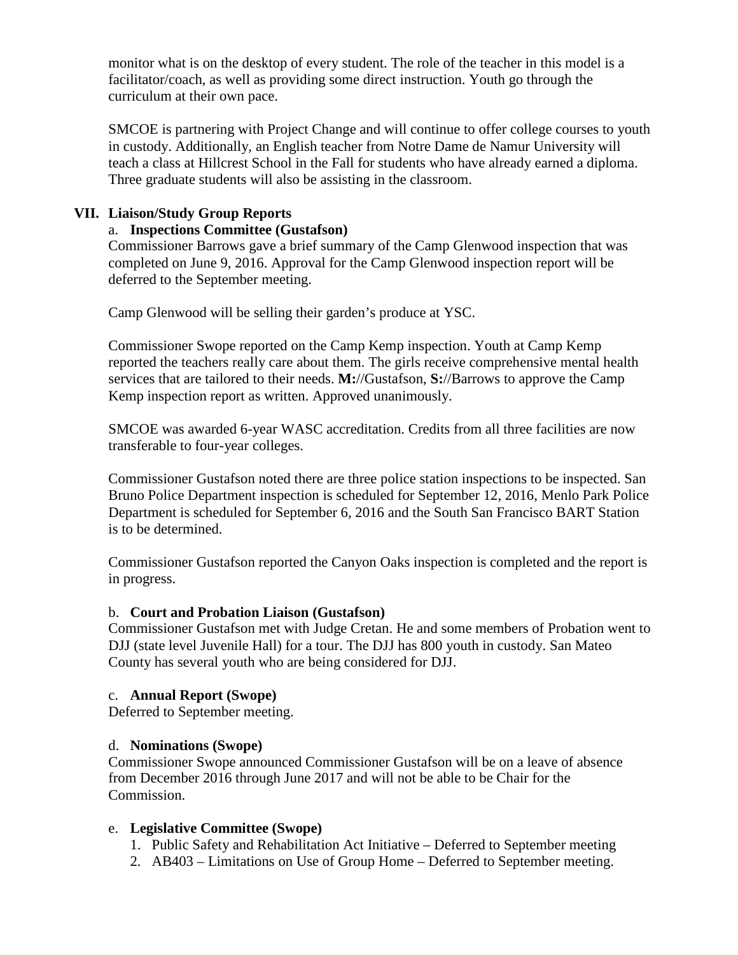monitor what is on the desktop of every student. The role of the teacher in this model is a facilitator/coach, as well as providing some direct instruction. Youth go through the curriculum at their own pace.

SMCOE is partnering with Project Change and will continue to offer college courses to youth in custody. Additionally, an English teacher from Notre Dame de Namur University will teach a class at Hillcrest School in the Fall for students who have already earned a diploma. Three graduate students will also be assisting in the classroom.

## **VII. Liaison/Study Group Reports**

## a. **Inspections Committee (Gustafson)**

Commissioner Barrows gave a brief summary of the Camp Glenwood inspection that was completed on June 9, 2016. Approval for the Camp Glenwood inspection report will be deferred to the September meeting.

Camp Glenwood will be selling their garden's produce at YSC.

Commissioner Swope reported on the Camp Kemp inspection. Youth at Camp Kemp reported the teachers really care about them. The girls receive comprehensive mental health services that are tailored to their needs. **M:**//Gustafson, **S:**//Barrows to approve the Camp Kemp inspection report as written. Approved unanimously.

SMCOE was awarded 6-year WASC accreditation. Credits from all three facilities are now transferable to four-year colleges.

Commissioner Gustafson noted there are three police station inspections to be inspected. San Bruno Police Department inspection is scheduled for September 12, 2016, Menlo Park Police Department is scheduled for September 6, 2016 and the South San Francisco BART Station is to be determined.

Commissioner Gustafson reported the Canyon Oaks inspection is completed and the report is in progress.

## b. **Court and Probation Liaison (Gustafson)**

Commissioner Gustafson met with Judge Cretan. He and some members of Probation went to DJJ (state level Juvenile Hall) for a tour. The DJJ has 800 youth in custody. San Mateo County has several youth who are being considered for DJJ.

## c. **Annual Report (Swope)**

Deferred to September meeting.

# d. **Nominations (Swope)**

Commissioner Swope announced Commissioner Gustafson will be on a leave of absence from December 2016 through June 2017 and will not be able to be Chair for the Commission.

# e. **Legislative Committee (Swope)**

- 1. Public Safety and Rehabilitation Act Initiative Deferred to September meeting
- 2. AB403 Limitations on Use of Group Home Deferred to September meeting.